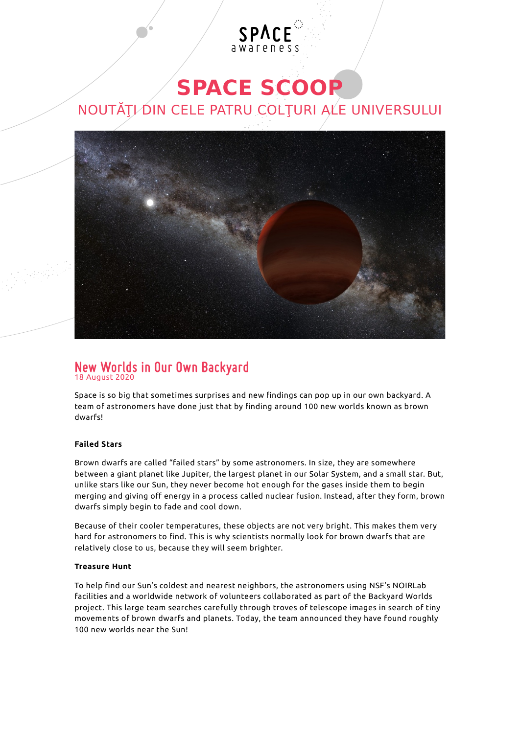# **SPACE SCOOP**

SPACE

## NOUTĂȚI DIN CELE PATRU COLȚURI ALE UNIVERSULUI



#### **New Worlds in Our Own Backyard** 18 August 2020

Space is so big that sometimes surprises and new findings can pop up in our own backyard. A team of astronomers have done just that by finding around 100 new worlds known as brown dwarfs!

#### **Failed Stars**

[Brown dwarfs](http://www.spacescoop.org/en/words/brown-dwarf/) are called "failed stars" by some astronomers. In size, they are somewhere between a giant planet like Jupiter, the largest planet in our Solar System, and a small star. But, unlike stars like our Sun, they never become hot enough for the gases inside them to begin merging and giving off energy in a process called nuclear fusion. Instead, after they form, brown dwarfs simply begin to fade and cool down.

Because of their cooler temperatures, these objects are not very bright. This makes them very hard for astronomers to find. This is why scientists normally look for brown dwarfs that are relatively close to us, because they will seem brighter.

#### **Treasure Hunt**

To help find our Sun's coldest and nearest neighbors, the astronomers using NSF's NOIRLab facilities and a worldwide network of volunteers collaborated as part of the Backyard Worlds project. This large team searches carefully through troves of telescope images in search of tiny movements of brown dwarfs and planets. Today, the team announced they have found roughly 100 new worlds near the Sun!